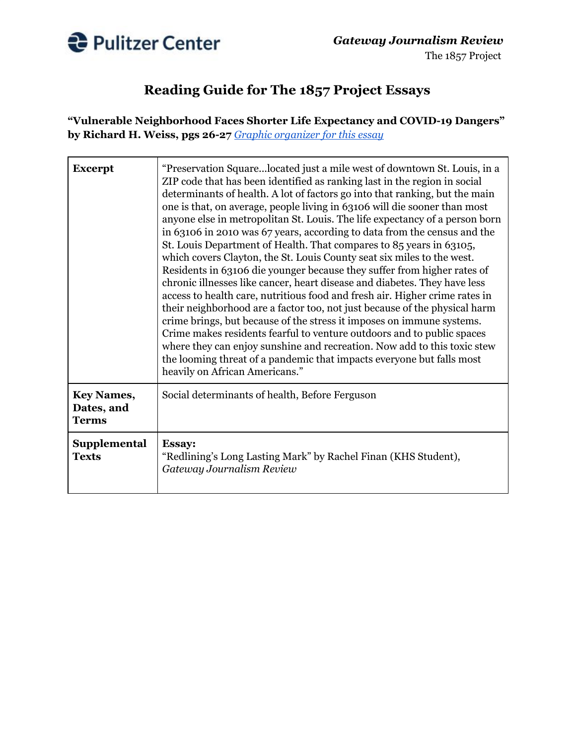

## **Reading Guide for The 1857 Project Essays**

**"Vulnerable Neighborhood Faces Shorter Life Expectancy and COVID-19 Dangers" by Richard H. Weiss, pgs 26-27** *Graphic [organizer](http://pulitzercenter.org/sites/default/files/graphic_organizer_vulnerable_neighborhood_faces_shorter_life_expectancy_and_covid-19_dangers.pdf) for this essay*

| <b>Excerpt</b>                                  | "Preservation Squarelocated just a mile west of downtown St. Louis, in a<br>ZIP code that has been identified as ranking last in the region in social<br>determinants of health. A lot of factors go into that ranking, but the main<br>one is that, on average, people living in 63106 will die sooner than most<br>anyone else in metropolitan St. Louis. The life expectancy of a person born<br>in 63106 in 2010 was 67 years, according to data from the census and the<br>St. Louis Department of Health. That compares to 85 years in 63105,<br>which covers Clayton, the St. Louis County seat six miles to the west.<br>Residents in 63106 die younger because they suffer from higher rates of<br>chronic illnesses like cancer, heart disease and diabetes. They have less<br>access to health care, nutritious food and fresh air. Higher crime rates in<br>their neighborhood are a factor too, not just because of the physical harm<br>crime brings, but because of the stress it imposes on immune systems.<br>Crime makes residents fearful to venture outdoors and to public spaces<br>where they can enjoy sunshine and recreation. Now add to this toxic stew<br>the looming threat of a pandemic that impacts everyone but falls most<br>heavily on African Americans." |
|-------------------------------------------------|----------------------------------------------------------------------------------------------------------------------------------------------------------------------------------------------------------------------------------------------------------------------------------------------------------------------------------------------------------------------------------------------------------------------------------------------------------------------------------------------------------------------------------------------------------------------------------------------------------------------------------------------------------------------------------------------------------------------------------------------------------------------------------------------------------------------------------------------------------------------------------------------------------------------------------------------------------------------------------------------------------------------------------------------------------------------------------------------------------------------------------------------------------------------------------------------------------------------------------------------------------------------------------------------|
| <b>Key Names,</b><br>Dates, and<br><b>Terms</b> | Social determinants of health, Before Ferguson                                                                                                                                                                                                                                                                                                                                                                                                                                                                                                                                                                                                                                                                                                                                                                                                                                                                                                                                                                                                                                                                                                                                                                                                                                               |
| Supplemental<br><b>Texts</b>                    | <b>Essay:</b><br>"Redlining's Long Lasting Mark" by Rachel Finan (KHS Student),<br>Gateway Journalism Review                                                                                                                                                                                                                                                                                                                                                                                                                                                                                                                                                                                                                                                                                                                                                                                                                                                                                                                                                                                                                                                                                                                                                                                 |